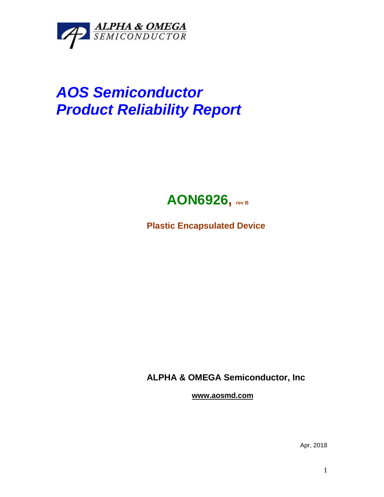

## *AOS Semiconductor Product Reliability Report*



**Plastic Encapsulated Device**

**ALPHA & OMEGA Semiconductor, Inc**

**www.aosmd.com**

Apr, 2018